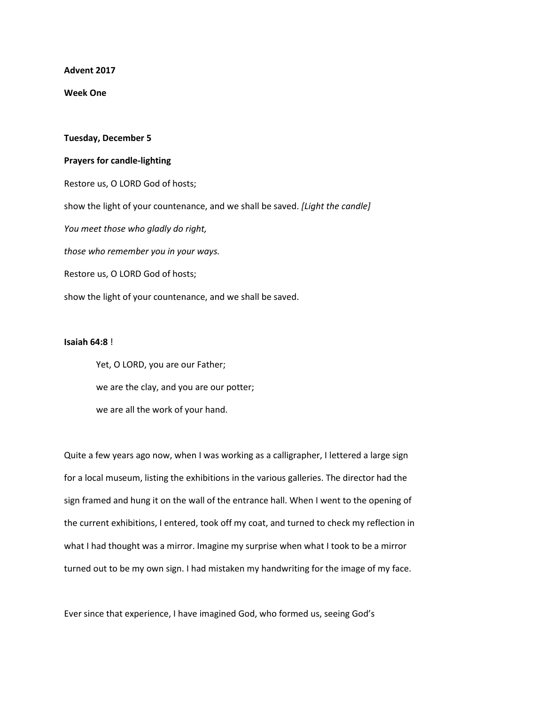**Advent 2017**

**Week One**

## **Tuesday, December 5**

## **Prayers for candle-lighting**

Restore us, O LORD God of hosts; show the light of your countenance, and we shall be saved. *[Light the candle] You meet those who gladly do right, those who remember you in your ways.* Restore us, O LORD God of hosts; show the light of your countenance, and we shall be saved.

## **Isaiah 64:8** !

Yet, O LORD, you are our Father; we are the clay, and you are our potter; we are all the work of your hand.

Quite a few years ago now, when I was working as a calligrapher, I lettered a large sign for a local museum, listing the exhibitions in the various galleries. The director had the sign framed and hung it on the wall of the entrance hall. When I went to the opening of the current exhibitions, I entered, took off my coat, and turned to check my reflection in what I had thought was a mirror. Imagine my surprise when what I took to be a mirror turned out to be my own sign. I had mistaken my handwriting for the image of my face.

Ever since that experience, I have imagined God, who formed us, seeing God's